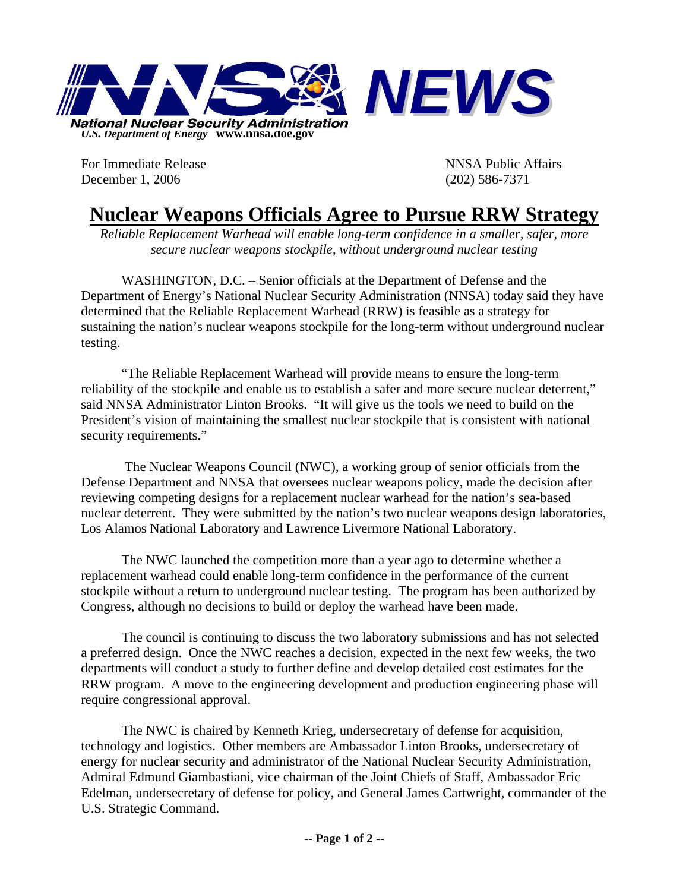

For Immediate Release **NNSA** Public Affairs December 1, 2006 (202) 586-7371

## **Nuclear Weapons Officials Agree to Pursue RRW Strategy**

*Reliable Replacement Warhead will enable long-term confidence in a smaller, safer, more secure nuclear weapons stockpile, without underground nuclear testing* 

WASHINGTON, D.C. – Senior officials at the Department of Defense and the Department of Energy's National Nuclear Security Administration (NNSA) today said they have determined that the Reliable Replacement Warhead (RRW) is feasible as a strategy for sustaining the nation's nuclear weapons stockpile for the long-term without underground nuclear testing.

 "The Reliable Replacement Warhead will provide means to ensure the long-term reliability of the stockpile and enable us to establish a safer and more secure nuclear deterrent," said NNSA Administrator Linton Brooks. "It will give us the tools we need to build on the President's vision of maintaining the smallest nuclear stockpile that is consistent with national security requirements."

 The Nuclear Weapons Council (NWC), a working group of senior officials from the Defense Department and NNSA that oversees nuclear weapons policy, made the decision after reviewing competing designs for a replacement nuclear warhead for the nation's sea-based nuclear deterrent. They were submitted by the nation's two nuclear weapons design laboratories, Los Alamos National Laboratory and Lawrence Livermore National Laboratory.

 The NWC launched the competition more than a year ago to determine whether a replacement warhead could enable long-term confidence in the performance of the current stockpile without a return to underground nuclear testing. The program has been authorized by Congress, although no decisions to build or deploy the warhead have been made.

The council is continuing to discuss the two laboratory submissions and has not selected a preferred design. Once the NWC reaches a decision, expected in the next few weeks, the two departments will conduct a study to further define and develop detailed cost estimates for the RRW program. A move to the engineering development and production engineering phase will require congressional approval.

 The NWC is chaired by Kenneth Krieg, undersecretary of defense for acquisition, technology and logistics. Other members are Ambassador Linton Brooks, undersecretary of energy for nuclear security and administrator of the National Nuclear Security Administration, Admiral Edmund Giambastiani, vice chairman of the Joint Chiefs of Staff, Ambassador Eric Edelman, undersecretary of defense for policy, and General James Cartwright, commander of the U.S. Strategic Command.